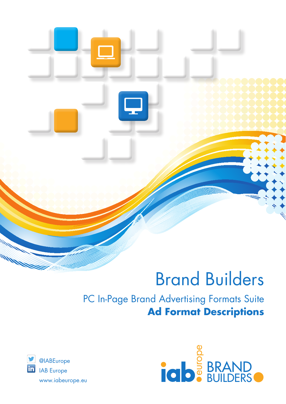# Brand Builders

# PC In-Page Brand Advertising Formats Suite **Ad Format Descriptions**



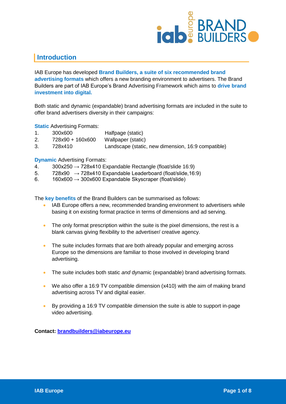

#### **Introduction**

IAB Europe has developed **Brand Builders, a suite of six recommended brand advertising formats** which offers a new branding environment to advertisers. The Brand Builders are part of IAB Europe's Brand Advertising Framework which aims to **drive brand investment into digital.** 

Both static and dynamic (expandable) brand advertising formats are included in the suite to offer brand advertisers diversity in their campaigns:

**Static** Advertising Formats:

- 1. 300x600 Halfpage (static)
- 2. 728x90 + 160x600 Wallpaper (static)
- 3. 728x410 Landscape (static, new dimension, 16:9 compatible)

**Dynamic** Advertising Formats:

- 4.  $300x250 \rightarrow 728x410$  Expandable Rectangle (float/slide 16:9)
- 5. 728x90  $\rightarrow$  728x410 Expandable Leaderboard (float/slide, 16:9)
- 6. 160x600  $\rightarrow$  300x600 Expandable Skyscraper (float/slide)

The **key benefits** of the Brand Builders can be summarised as follows:

- IAB Europe offers a new, recommended branding environment to advertisers while basing it on existing format practice in terms of dimensions and ad serving.
- The only format prescription within the suite is the pixel dimensions, the rest is a blank canvas giving flexibility to the advertiser/ creative agency.
- The suite includes formats that are both already popular and emerging across Europe so the dimensions are familiar to those involved in developing brand advertising.
- The suite includes both static *and* dynamic (expandable) brand advertising formats.
- We also offer a 16:9 TV compatible dimension (x410) with the aim of making brand advertising across TV and digital easier.
- By providing a 16:9 TV compatible dimension the suite is able to support in-page video advertising.

**Contact: [brandbuilders@iabeurope.eu](mailto:brandbuilders@iabeurope.eu)**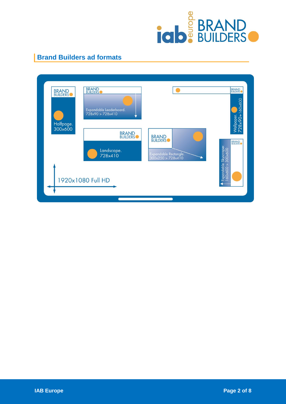

### **Brand Builders ad formats**

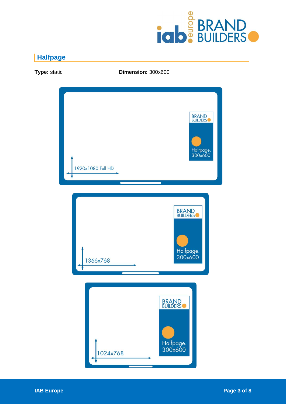

# **Halfpage**

**BRAND**<br>BUILDERS Halfpage. 300x600 1920x1080 Full HD **BRAND**<br>BUILDERS Halfpage.<br>300x600 1366x768 **BRAND**<br>BUILDERS<sup>O</sup> Halfpage.<br>300x600 1024x768

**Type:** static **Dimension:** 300x600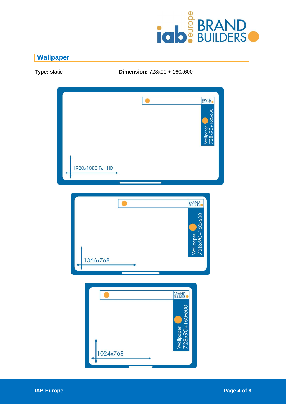

# **Wallpaper**

BRAND<br>BUILDERS  $\overline{\bullet}$ Wallpaper.<br>728x90+160x600 1920x1080 Full HD **BRAND**<br>BUILDERS 728x90+160x600 Wallpaper. 1366x768 **BRAND** 28x90+160x600 **Vallpaper.** 1024x768

**Type:** static **Dimension:** 728x90 + 160x600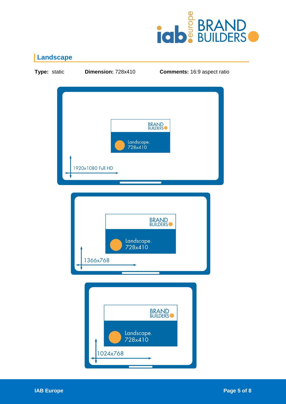

# **Landscape**

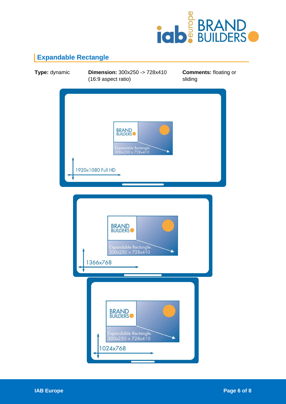

# **Expandable Rectangle**

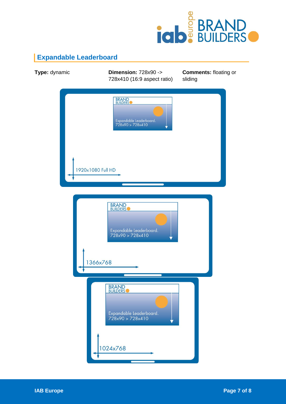

# **Expandable Leaderboard**